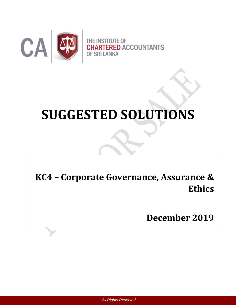

# **SUGGESTED SOLUTIONS**

**KC4 – Corporate Governance, Assurance & Ethics**

**December 2019**

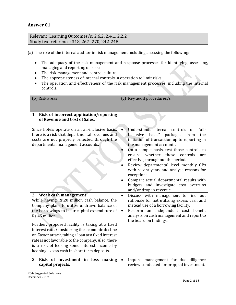## **Answer 01**

Relevant Learning Outcomes/s; 2.6.2, 2.4.1, 2.2.2 Study text reference: 318, 267- 270, 242-248

(a) The role of the internal auditor in risk management including assessing the following:

- The adequacy of the risk management and response processes for identifying, assessing, managing and reporting on risk;
- The risk management and control culture;
- The appropriateness of internal controls in operation to limit risks;
- The operation and effectiveness of the risk management processes, including the internal controls.

| (b) Risk areas                                                                                                                                                                                                                                                                                                                                                                                                                                                                                              | (c) Key audit procedures/s                                                                                                                                                                                                                                                                                                                                                                                                                                                                                                                                             |  |  |  |
|-------------------------------------------------------------------------------------------------------------------------------------------------------------------------------------------------------------------------------------------------------------------------------------------------------------------------------------------------------------------------------------------------------------------------------------------------------------------------------------------------------------|------------------------------------------------------------------------------------------------------------------------------------------------------------------------------------------------------------------------------------------------------------------------------------------------------------------------------------------------------------------------------------------------------------------------------------------------------------------------------------------------------------------------------------------------------------------------|--|--|--|
| 1. Risk of incorrect application/reporting<br>of Revenue and Cost of Sales.<br>Since hotels operate on an all-inclusive basis,<br>there is a risk that departmental revenues and<br>costs are not properly reflected through the<br>departmental management accounts.                                                                                                                                                                                                                                       | Understand internal controls<br>"all-<br>$\bullet$<br><sub>on</sub><br>inclusive<br>basis"<br>packages<br>the<br>from<br>initiation of transaction up to reporting in<br>the management accounts.<br>On a sample basis, test those controls to<br>those<br>whether<br>controls<br>ensure<br>are<br>effective, throughout the period.<br>Review departmental level monthly GPs<br>$\bullet$<br>with recent years and analyse reasons for<br>exceptions.<br>Compare actual departmental results with<br>budgets and investigate cost overruns<br>and/or drop in revenue. |  |  |  |
| 2. Weak cash management<br>While having Rs.20 million cash balance, the<br>Company plans to utilize undrawn balance of<br>the borrowings to incur capital expenditure of<br>Rs.45 million.<br>Further, proposed facility is taking at a fixed<br>interest rate. Considering the economic decline<br>on Easter attack, taking a loan at a fixed interest<br>rate is not favorable to the company. Also, there<br>is a risk of loosing some interest income by<br>keeping excess cash in short term deposits. | Discuss with management to find out<br>$\bullet$<br>rationale for not utilizing excess cash and<br>instead use of a borrowing facility.<br>Perform an independent cost benefit<br>analysis on cash management and report to<br>the board on findings.                                                                                                                                                                                                                                                                                                                  |  |  |  |
| Risk of investment in loss making<br>3.<br>capital projects.                                                                                                                                                                                                                                                                                                                                                                                                                                                | Inquire management for due diligence<br>review conducted for propped investment.                                                                                                                                                                                                                                                                                                                                                                                                                                                                                       |  |  |  |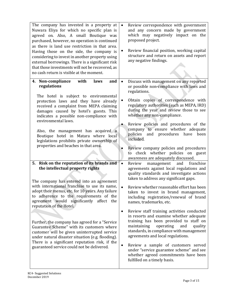| The company has invested in a property at<br>Nuwara Eliya for which no specific plan is<br>agreed on. Also, A small Boutique was<br>purchased, however, no operation is continued<br>as there is land use restriction in that area.<br>Having those on the side, the company is<br>considering to invest in another property using<br>external borrowings. There is a significant risk<br>that those investments will not be recovered, as<br>no cash return is visible at the moment.                                                                                                                                                                                                                                                                                                                                                                                                                                                                                               | Review correspondence with government<br>and any concern made by government<br>which may negatively impact on the<br>proposed project.<br>Review financial position, working capital<br>structure and return on assets and report<br>any negative findings.                                                                                                                                                                                                                                                                                                                                                                                                                                                                                                                                                                                                                                                                                                                                                                                                                                                                                                                            |
|--------------------------------------------------------------------------------------------------------------------------------------------------------------------------------------------------------------------------------------------------------------------------------------------------------------------------------------------------------------------------------------------------------------------------------------------------------------------------------------------------------------------------------------------------------------------------------------------------------------------------------------------------------------------------------------------------------------------------------------------------------------------------------------------------------------------------------------------------------------------------------------------------------------------------------------------------------------------------------------|----------------------------------------------------------------------------------------------------------------------------------------------------------------------------------------------------------------------------------------------------------------------------------------------------------------------------------------------------------------------------------------------------------------------------------------------------------------------------------------------------------------------------------------------------------------------------------------------------------------------------------------------------------------------------------------------------------------------------------------------------------------------------------------------------------------------------------------------------------------------------------------------------------------------------------------------------------------------------------------------------------------------------------------------------------------------------------------------------------------------------------------------------------------------------------------|
| 4. Non-compliance<br>with<br>and<br>laws<br>regulations<br>The hotel is subject to environmental<br>protection laws and they have already<br>received a complaint from MEPA claiming<br>damages caused by hotel's guests. This<br>indicates a possible non-compliance with<br>environmental laws.<br>Also, the management has acquired a<br>Boutique hotel in Matara where local<br>legislations prohibits private ownership of<br>properties and beaches in that area.<br>Risk on the reputation of its brands and<br>5.<br>the intellectual property rights<br>The company has entered into an agreement<br>with international franchise to use its name,<br>adopt their menus, etc. for 10 years. Any failure<br>to adherence to the requirements of the<br>agreement would significantly affect the<br>reputation of the Hotel.<br>Further, the company has agreed for a "Service"<br>Guarantee Scheme" with its customers where<br>customer will be given uninterrupted service | Discuss with management on any reported<br>$\bullet$<br>or possible non-compliance with laws and<br>regulations.<br>Obtain copies of correspondence with<br>$\bullet$<br>regulatory authorities (such as MEPA, IRD)<br>during the year and review those to see<br>whether any non-compliance.<br>Review policies and procedures of the<br>company to ensure whether adequate<br>policies and procedures have<br>been<br>included.<br>Review company policies and procedures<br>to check whether policies on guest<br>awareness are adequately discussed.<br>Review<br>management<br>and<br>franchise<br>$\bullet$<br>agreements against local regulations and<br>quality standards and investigate actions<br>taken to address any significant gaps.<br>Review whether reasonable effort has been<br>taken to invest in brand management,<br>including registration/renewal of brand<br>names, trademarks, etc.<br>Review staff training activities conducted<br>٠<br>in resorts and examine whether adequate<br>training has been provided to staff on<br>maintaining<br>operating<br>and<br>quality<br>standards, in compliance with management<br>agreements and local regulations. |
| under natural disaster situation (e.g. flooding).<br>There is a significant reputation risk, if the<br>guaranteed service could not be delivered.                                                                                                                                                                                                                                                                                                                                                                                                                                                                                                                                                                                                                                                                                                                                                                                                                                    | Review a sample of customers served<br>$\bullet$<br>under "service guarantee scheme" and see<br>whether agreed commitments have been<br>fulfilled on a timely basis.                                                                                                                                                                                                                                                                                                                                                                                                                                                                                                                                                                                                                                                                                                                                                                                                                                                                                                                                                                                                                   |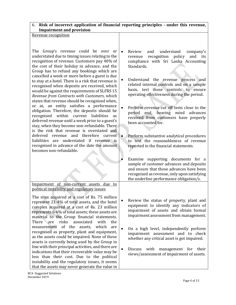## 6. **Risk of incorrect application of financial reporting principles - under this revenue, Impairment and provision**

Revenue recognition

The Group's revenue could be over or understated due to timing issues relating to the recognition of revenue. Customers pay 40% of the cost of their holiday in advance, and the Group has to refund any bookings which are cancelled a week or more before a guest is due to stay at a hotel. There is a risk that revenue is recognised when deposits are received, which would be against the requirements of SLFRS 15 *Revenue from Contracts with Customers*, which states that revenue should be recognised when, or as, an entity satisfies a performance obligation. Therefore, the deposits should be recognised within current liabilities as deferred revenue until a week prior to a guest's stay, when they become non-refundable. There is the risk that revenue is overstated and deferred revenue and therefore current  $\bullet$ liabilities are understated if revenue is recognised in advance of the date the amount becomes non-refundable.

- Review and understand company's revenue recognition policy and its compliance with Sri Lanka Accounting Standards.
- Understand the revenue process and related internal controls and on a sample basis, test those controls to ensure operating effectiveness during the period.
- Perform revenue cut off tests close to the period end, bearing mind advances received from customers have properly been accounted for.
- Perform substantive analytical procedures to test the reasonableness of revenue reported in the financial statements.
- Examine supporting documents for a sample of customer advances and deposits and ensure that those advances have been recognized as revenue, only upon satisfying the underline performance obligation/s.

The sites acquired at a cost of Rs. 75 million represent 21·4% of total assets, and the hotel complex acquired at a cost of Rs. 23 million represents 6·6% of total assets; these assets are material to the Group financial statements. There are risks associated with the measurement of the assets, which are recognised as property, plant and equipment, as the assets could be impaired. None of these assets is currently being used by the Group in

Impairment of non-current assets due to political instability and regulatory issues

line with their principal activities, and there are indications that their recoverable value may be less than their cost. Due to the political instability and the regulatory issues, it seems that the assets may never generate the value in

- Review the status of property, plant and equipment to identify any indicators of impairment of assets and obtain formal impairment assessment from management.
- On a high level, independently perform impairment assessment and to check whether any critical asset is got impaired.
- Discuss with management for their views/assessment of impairment of assets.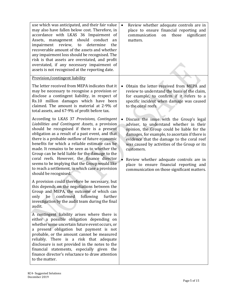| use which was anticipated, and their fair value<br>may also have fallen below cost. Therefore, in<br>accordance with LKAS 36 Impairment of<br>should conduct<br>Assets, management<br>an<br>impairment<br>review,<br>determine<br>the<br>to<br>recoverable amount of the assets and whether<br>any impairment loss should be recognised. The<br>risk is that assets are overstated, and profit<br>overstated, if any necessary impairment of<br>assets is not recognised at the reporting date.                                                                                                                                                                                                                                                                                                                                                                                                                                                                                                                                                                                                                                                                                                                                                                                                                                                                                                                                                                                                                                                                                                                       | Review whether adequate controls are in<br>$\bullet$<br>place to ensure financial reporting and<br>those<br>significant<br>communication<br>on<br>matters.                                                                                                                                                                                                                                                                                                                                                                                                                                                                                                                              |
|-----------------------------------------------------------------------------------------------------------------------------------------------------------------------------------------------------------------------------------------------------------------------------------------------------------------------------------------------------------------------------------------------------------------------------------------------------------------------------------------------------------------------------------------------------------------------------------------------------------------------------------------------------------------------------------------------------------------------------------------------------------------------------------------------------------------------------------------------------------------------------------------------------------------------------------------------------------------------------------------------------------------------------------------------------------------------------------------------------------------------------------------------------------------------------------------------------------------------------------------------------------------------------------------------------------------------------------------------------------------------------------------------------------------------------------------------------------------------------------------------------------------------------------------------------------------------------------------------------------------------|-----------------------------------------------------------------------------------------------------------------------------------------------------------------------------------------------------------------------------------------------------------------------------------------------------------------------------------------------------------------------------------------------------------------------------------------------------------------------------------------------------------------------------------------------------------------------------------------------------------------------------------------------------------------------------------------|
| Provision/contingent liability<br>The letter received from MEPA indicates that it<br>may be necessary to recognise a provision or<br>disclose a contingent liability, in respect of<br>Rs.10 million damages which have been<br>claimed. The amount is material at 2.9% of<br>total assets, and 67.9% of profit before tax.<br>According to LKAS 37 Provisions, Contingent<br>Liabilities and Contingent Assets, a provision<br>should be recognised if there is a present<br>obligation as a result of a past event, and that<br>there is a probable outflow of future economic<br>benefits for which a reliable estimate can be<br>made. It remains to be seen as to whether the<br>Group can be held liable for the damage to the<br>coral reefs. However, the finance director<br>seems to be implying that the Group would like<br>to reach a settlement, in which case a provision<br>should be recognised.<br>A provision could therefore be necessary, but<br>this depends on the negotiations between the<br>Group and MEPA, the outcome of which can<br>confirmed<br>only<br>be<br>following<br>further<br>investigation by the audit team during the final<br>audit.<br>A contingent liability arises where there is<br>either a possible obligation depending on<br>whether some uncertain future event occurs, or<br>a present obligation but payment is not<br>probable, or the amount cannot be measured<br>reliably. There is a risk that adequate<br>disclosure is not provided in the notes to the<br>financial statements, especially given the<br>finance director's reluctance to draw attention | Obtain the letter received from MEPA and<br>$\bullet$<br>review to understand the basis of the claim,<br>for example, to confirm if it refers to a<br>specific incident when damage was caused<br>to the coral reefs.<br>Discuss the issue with the Group's legal<br>$\bullet$<br>adviser, to understand whether in their<br>opinion, the Group could be liable for the<br>damages, for example, to ascertain if there is<br>evidence that the damage to the coral reef<br>was caused by activities of the Group or its<br>customers.<br>$\bullet$<br>Review whether adequate controls are in<br>place to ensure financial reporting and<br>communication on those significant matters. |
| to the matter.                                                                                                                                                                                                                                                                                                                                                                                                                                                                                                                                                                                                                                                                                                                                                                                                                                                                                                                                                                                                                                                                                                                                                                                                                                                                                                                                                                                                                                                                                                                                                                                                        |                                                                                                                                                                                                                                                                                                                                                                                                                                                                                                                                                                                                                                                                                         |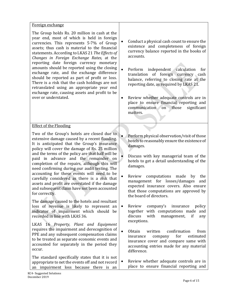| Foreign exchange                                                                                                                                                                                                                                                                                                                                                                                                                                                                                                                                                                                                                                                |                                                                                                                                                                                                                                                                                                                                                                                                                                                                                                                  |
|-----------------------------------------------------------------------------------------------------------------------------------------------------------------------------------------------------------------------------------------------------------------------------------------------------------------------------------------------------------------------------------------------------------------------------------------------------------------------------------------------------------------------------------------------------------------------------------------------------------------------------------------------------------------|------------------------------------------------------------------------------------------------------------------------------------------------------------------------------------------------------------------------------------------------------------------------------------------------------------------------------------------------------------------------------------------------------------------------------------------------------------------------------------------------------------------|
| The Group holds Rs. 20 million in cash at the<br>year end, most of which is held in foreign<br>currencies. This represents 5.7% of Group<br>assets; thus cash is material to the financial<br>statements. According to LKAS 21 The Effects of<br>Changes in Foreign Exchange Rates, at the<br>reporting date foreign currency monetary<br>amounts should be reported using the closing<br>exchange rate, and the exchange difference<br>should be reported as part of profit or loss.<br>There is a risk that the cash holdings are not<br>retranslated using an appropriate year end<br>exchange rate, causing assets and profit to be<br>over or understated. | Conduct a physical cash count to ensure the<br>$\bullet$<br>existence and completeness of foreign<br>currency balance reported in the books of<br>accounts.<br>$\bullet$<br>independent calculation<br>Perform<br>for<br>translation of foreign currency cash<br>balance, referring to closing rate at the<br>reporting date, as required by LKAS 21.<br>Review whether adequate controls are in<br>$\bullet$<br>place to ensure financial reporting and<br>communication<br>on those<br>significant<br>matters. |
| <b>Effect of the Flooding</b>                                                                                                                                                                                                                                                                                                                                                                                                                                                                                                                                                                                                                                   |                                                                                                                                                                                                                                                                                                                                                                                                                                                                                                                  |
| Two of the Group's hotels are closed due to<br>extensive damage caused by a recent flooding.<br>It is anticipated that the Group's insurance<br>policy will cover the damage of Rs. 25 million<br>and the terms of the policy are that half will be<br>paid in advance and the remainder on<br>completion of the repairs, although this will<br>need confirming during our audit testing. The<br>accounting for these events will need to be<br>carefully considered as there is a risk that<br>assets and profit are overstated if the damage<br>and subsequent claim have not been accounted<br>for correctly.                                                | Perform physical observation/visit of those<br>hotels to reasonably ensure the existence of<br>damages.<br>Discuss with key managerial team of the<br>hotels to get a detail understanding of the<br>damages.<br>Review<br>computations<br>made<br>the<br>$\bullet$<br>by<br>management for losses/damages<br>and<br>expected insurance covers. Also ensure<br>that those computations are approved by<br>the board of directors.                                                                                |
| The damage caused to the hotels and resultant<br>loss of revenue is likely to represent an<br>indicator of impairment which should be<br>recorded in line with LKAS 36.                                                                                                                                                                                                                                                                                                                                                                                                                                                                                         | Review<br>policy<br>company's<br>insurance<br>٠<br>with computations made<br>together<br>and<br>discuss<br>with<br>management,<br>if<br>any                                                                                                                                                                                                                                                                                                                                                                      |
| LKAS 16 Property, Plant and Equipment<br>requires the impairment and derecognition of<br>PPE and any subsequent compensation claims<br>to be treated as separate economic events and<br>accounted for separately in the period they<br>occur.                                                                                                                                                                                                                                                                                                                                                                                                                   | exceptions.<br>$\bullet$<br>confirmation<br>Obtain<br>written<br>from<br>for<br>estimated<br>insurance<br>company<br>insurance cover and compare same with<br>accounting entries made for any material<br>difference.                                                                                                                                                                                                                                                                                            |
| The standard specifically states that it is not<br>appropriate to net the events off and not record<br>an impairment loss because there is an                                                                                                                                                                                                                                                                                                                                                                                                                                                                                                                   | Review whether adequate controls are in<br>$\bullet$<br>place to ensure financial reporting and                                                                                                                                                                                                                                                                                                                                                                                                                  |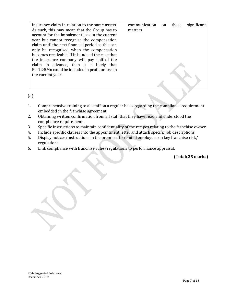| insurance claim in relation to the same assets.   | communication | on | those | significant |
|---------------------------------------------------|---------------|----|-------|-------------|
| As such, this may mean that the Group has to      | matters.      |    |       |             |
| account for the impairment loss in the current    |               |    |       |             |
| year but cannot recognise the compensation        |               |    |       |             |
| claim until the next financial period as this can |               |    |       |             |
| only be recognised when the compensation          |               |    |       |             |
| becomes receivable. If it is indeed the case that |               |    |       |             |
| the insurance company will pay half of the        |               |    |       |             |
| claim in advance, then it is likely that          |               |    |       |             |
| Rs. 12.5Mn could be included in profit or loss in |               |    |       |             |
| the current year.                                 |               |    |       |             |
|                                                   |               |    |       |             |
|                                                   |               |    |       |             |

(d)

- 1. Comprehensive training to all staff on a regular basis regarding the compliance requirement embedded in the franchise agreement.
- 2. Obtaining written confirmation from all staff that they have read and understood the compliance requirement.
- 3. Specific instructions to maintain confidentiality of the recipes relating to the franchise owner.
- 4. Include specific clauses into the appointment letter and attach specific job descriptions
- 5. Display notices/instructions in the premises to remind employees on key franchise risk/ regulations.
- 6. Link compliance with franchise rules/regulations to performance appraisal.

**(Total: 25 marks)**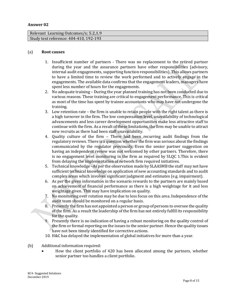#### **Answer 02**

| Relevant Learning Outcomes/s; 5.2,1.9  |  |
|----------------------------------------|--|
| Study text reference: 404-410, 192-193 |  |

#### (a) **Root causes**

- 1. Insufficient number of partners There was no replacement to the retired partner during the year and the assurance partners have other responsibilities (advisory, internal audit engagements, supporting function responsibilities). This allows partners to have a limited time to review the work performed and to actively engage in the engagements. The available data confirms that the engagement leaders, managers have spent less number of hours for the engagements.
- 2. No adequate training During the year planned training has not been conducted due to various reasons. These training are critical to engagement performance. This is critical as most of the time has spent by trainee accountants who may have not undergone the training.
- 3. Low retention rate the firm is unable to retain people with the right talent as there is a high turnover in the firm. The low compensation level, unavailability of technological advancements and less career development opportunities make less attractive staff to continue with the firm. As a result of these limitations, the firm may be unable to attract new recruits as there had been staff unavailability.
- 4. Quality culture of the firm There had been recurring audit findings from the regulatory reviews. There is a question whether the firm was serious about the findings communicated by the regulator previously. Even the senior partner suggestion on having an independent review was not welcomed by other partners. Therefore, there is no engagement level monitoring in the firm as required by SLQC 1.This is evident from delaying the implementation of network firm required initiatives.
- 5. Technical knowledge –As per the observation made by SLAASMB the staff may not have sufficient technical knowledge on application of new accounting standards and to audit complex areas which involves significant judgment and estimates (e.g. impairment).
- 6. As per the given information in the scenario rewards to the partners are mainly based on achievement of financial performance as there is a high weightage for it and less weightage given. This may have implication on quality.
- 7. No monitoring over rotation may be due to less focus on this area. Independence of the audit team should be monitored on a regular basis.
- 8. Presently the firm has not appointed a person or group of persons to oversee the quality of the firm. As a result the leadership of the firm has not entirely fulfill its responsibility for the quality.
- 9. Presently there is no indication of having a robust monitoring on the quality control of the firm or formal reporting on the issues to the senior partner. Hence the quality issues have not been timely identified for corrective actions.
- 10. H&C has delayed the implementation of global initiatives for more than a year.
- (b) Additional information required:
	- How the client portfolio of 420 has been allocated among the partners, whether senior partner too handles a client portfolio.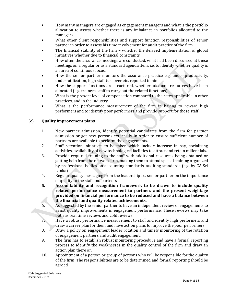- How many managers are engaged as engagement managers and what is the portfolio allocation to assess whether there is any imbalance in portfolios allocated to the managers
- What other client responsibilities and support function responsibilities of senior partner in order to assess his time involvement for audit practice of the firm
- The financial stability of the firm whether the delayed implementation of global initiatives whether due to financial constraints
- How often the assurance meetings are conducted, what had been discussed at these meetings on a regular or as a standard agenda item. i.e. to identify whether quality is an area of continuous focus.
- How the senior partner monitors the assurance practice e.g. under-productivity, under-utilization, high staff turnover etc. reported to him
- How the support functions are structured, whether adequate resources have been allocated (e.g. trainers, staff to carry out the related functions)
- What is the present level of compensation compared to the rates applicable in other practices, and in the industry
- What is the performance measurement of the firm in having to reward high performers and to identify poor performers and provide support for those staff

#### (c) **Quality improvement plans**

- 1. New partner admission, Identify potential candidates from the firm for partner admission or get new persons externally in order to ensure sufficient number of partners are available to perform the engagements.
- 2. Staff retention initiatives to be taken which include increase in pay, socializing activities, availability of new technological facilities to attract and retain millennials.
- 3. Provide required training to the staff with additional resources being obtained or getting help from the network firm, making them to attend special training organized by professional bodies on accounting standards, auditing standards (e.g. by CA Sri Lanka)
- 4. Regular quality messaging from the leadership i.e. senior partner on the importance of quality to the staff and partners
- **5. Accountability and recognition framework to be drawn to include quality related performance measurement to partners and the present weightage provided on financial performance to be reduced and have a balance between the financial and quality related achievements.**
- 6. As suggested by the senior partner to have an independent review of engagements to assist quality improvements in engagement performance. These reviews may take both as real time reviews and cold reviews.
- 7. Have a robust performance measurement to staff and identify high performers and draw a career plan for them and have action plans to improve the poor performers.
- 8. Draw a policy on engagement leader rotation and timely monitoring of the rotation of engagement partners and audit engagement.
- 9. The firm has to establish robust monitoring procedure and have a formal reporting process to identify the weaknesses in the quality control of the firm and draw an action plan there on.
- 10. Appointment of a person or group of persons who will be responsible for the quality of the firm. The responsibilities are to be determined and formal reporting should be agreed.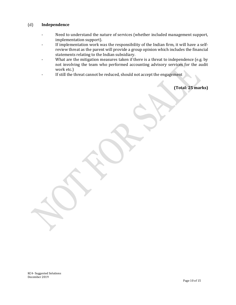#### (d) **Independence**

- Need to understand the nature of services (whether included management support, implementation support).
- If implementation work was the responsibility of the Indian firm, it will have a selfreview threat as the parent will provide a group opinion which includes the financial statements relating to the Indian subsidiary.
- What are the mitigation measures taken if there is a threat to independence (e.g. by not involving the team who performed accounting advisory services for the audit work etc.)
- If still the threat cannot be reduced, should not accept the engagement

**(Total: 25 marks)**

KC4- Suggested Solutions December 2019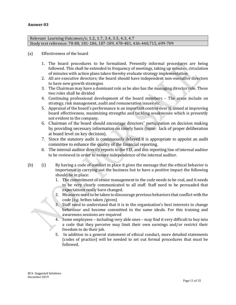#### **Answer 03**

Relevant Learning Outcomes/s; **1.2, 1.7, 3.4, 3.5, 4.3, 4.7** Study text reference: 78-88, 181-186, 187-189, 478-481, 436-440,715, 699-709

#### (a) Effectiveness of the board

- 1. The board procedures to be formalized. Presently informal procedures are being followed. This shall be extended to frequency of meetings, taking up minutes, circulation of minutes with action plans taken thereby evaluate strategy implementation
- 2. All are executive directors; the board should have independent non-executive directors to have new growth strategies
- 3. The Chairman may have a dominant role as he also has the managing director role. These two roles shall be divided
- 4. Continuing professional development of the board members The areas include on strategy, risk management, audit and remuneration issues etc.
- 5. Appraisal of the board's performance is an important control over it, aimed at improving board effectiveness, maximizing strengths and tackling weaknesses which is presently not evident in the company.
- 6. Chairman of the board should encourage directors' participation on decision making by providing necessary information on timely basis (issue: lack of proper deliberation at board level on key decision).
- 7. Since the statutory audit is continuously delayed it is appropriate to appoint an audit committee to enhance the quality of the financial reporting.
- 8. The internal auditor directly reports to the FD, and this reporting line of internal auditor to be reviewed in order to ensure independence of the internal auditor.
- (b) (i) By having a code of conduct in place it gives the message that the ethical behavior is importance in carrying out the business but to have a positive impact the following should be in place:
	- 1. The commitment of senior management to the code needs to be real, and it needs to be very clearly communicated to all staff. Staff need to be persuaded that expectations really have changed.
	- 2. Measures need to be taken to discourage previous behaviors that conflict with the code (e.g. bribes taken /given)
	- 3. Staff need to understand that it is in the organization's best interests to change behaviour and become committed to the same ideals. For this training and awareness sessions are required
	- 4. Some employees including very able ones may find it very difficult to buy into a code that they perceive may limit their own earnings and/or restrict their freedom to do their job.
	- 5. In addition to a general statement of ethical conduct, more detailed statements (codes of practice) will be needed to set out formal procedures that must be followed.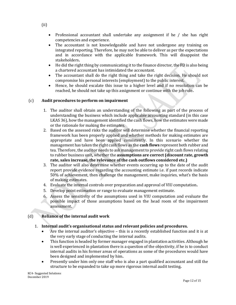- Professional accountant shall undertake any assignment if he / she has right competencies and experience.
- The accountant is not knowledgeable and have not undergone any training on integrated reporting. Therefore, he may not be able to deliver as per the expectations and in accordance with the applicable framework. This will disappoint the stakeholders**.**
- He did the right thing by communicating it to the finance director, the FD is also being a chartered accountant has intimidated the accountant.
- The accountant shall do the right thing and take the right decision. He should not compromise his personal interests (employment) to the public interest.
- Hence, he should escalate this issue to a higher level and if no resolution can be reached, he should not take up this assignment or continue with the job role**.**

#### (c) **Audit procedures to perform on impairment**

- 1. The auditor shall obtain an understanding of the following as part of the process of understanding the business which include applicable accounting standard (in this case LKAS 36), how the management identified the cash flows, how the estimates were made or the rationale for making the estimates.
- 2. Based on the assessed risks the auditor will determine whether the financial reporting framework has been properly applied and whether methods for making estimates are appropriate and have been applied consistently. In this scenario whether the management has taken the right cash flows as the **cash flows** represent both rubber and tea. Therefore, the auditor needs to ask management to provide right cash flows relating to rubber business unit**,** whether the **assumptions are correct (discount rate, growth rate, sales increase, the relevance of the cash outflows considered etc.)**
- 3. The auditor will also determine whether events occurring up to the date of the audit report provide evidence regarding the accounting estimate i.e. if past records indicate 50% of achievement, then challenge the management, make inquiries, what's the basis of making estimates.
- 4. Evaluate the internal controls over preparation and approval of VIU computation**.**
- 5. Develop point estimation or range to evaluate management estimate.
- 6. Assess the sensitivity of the assumptions used in VIU computation and evaluate the possible impact of those assumptions based on the head room of the impairment assessment**.**

## (d) **Reliance of the internal audit work**

#### 1. **Internal audit's organisational status and relevant policies and procedures.**

- Are the internal auditor's objective this is a recently established function and it is at the very early stage of conducting the internal audits.
- This function is headed by former manager engaged in plantation activities. Although he is well experienced in plantation there is a question of the objectivity, if he is to conduct internal audits in his former areas of operations as some of the procedures would have been designed and implemented by him**.**
- Presently under him only one staff who is also a part qualified accountant and still the structure to be expanded to take up more rigorous internal audit testing**.**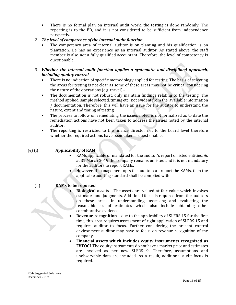- There is no formal plan on internal audit work, the testing is done randomly. The reporting is to the FD, and it is not considered to be sufficient from independence perspective
- *2. The level of competence of the internal audit function*
	- The competency area of internal auditor is on planting and his qualification is on plantation. He has no experience as an internal auditor. As stated above, the staff member is also not a fully qualified accountant. Therefore, the level of competency is questionable.
- *3. Whether the internal audit function applies a systematic and disciplined approach, including quality control*
	- There is no indication of specific methodology applied for testing. The basis of selecting the areas for testing is not clear as some of these areas may not be critical considering the nature of the operations (e.g. travel) –
	- The documentation is not robust, only maintain findings relating to the testing. The method applied, sample selected, timing etc. not evident from the available information / documentation. Therefore, this will have an issue for the auditor to understand the nature, extent and timing of testing
	- The process to follow on remediating the issues noted is not formalized as to date the remediation actions have not been taken to address the issues noted by the internal auditor.
	- The reporting is restricted to the finance director not to the board level therefore whether the required actions have been taken is questionable.

## (e) (i) **Applicability of KAM**

- KAMs applicable or mandated for the auditor's report of listed entities. As at 31 March 2019 the company remains unlisted and it is not mandatory for the auditors to report KAMs.
- However, if management opts the auditor can report the KAMs, then the applicable auditing standard shall be complied with.

## (ii) **KAMs to be reported**

- **Biological assets** The assets are valued at fair value which involves estimates and judgments. Additional focus is required from the auditors on these areas in understanding, assessing and evaluating the reasonableness of estimates which also include obtaining other corroborative evidence.
- **Revenue recognition** due to the applicability of SLFRS 15 for the first time, this area requires assessment of right application of SLFRS 15 and requires auditor to focus. Further considering the present control environment auditor may have to focus on revenue recognition of the company.
- **Financial assets which includes equity instruments recognized as FVTOCI**. The equity instruments do not have a market price and estimates are involved as per new SLFRS 9. Therefore, assumptions and unobservable data are included. As a result, additional audit focus is required.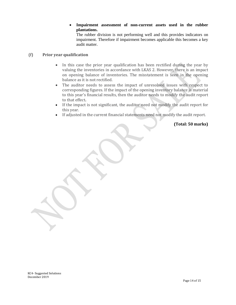#### **Impairment assessment of non-current assets used in the rubber plantations.**

The rubber division is not performing well and this provides indicators on impairment. Therefore if impairment becomes applicable this becomes a key audit matter.

#### (f) **Prior year qualification**

- In this case the prior year qualification has been rectified during the year by valuing the inventories in accordance with LKAS 2. However, there is an impact on opening balance of inventories. The misstatement is seen in the opening balance as it is not rectified.
- The auditor needs to assess the impact of unresolved issues with respect to corresponding figures. If the impact of the opening inventory balance is material to this year's financial results, then the auditor needs to modify the audit report to that effect**.**
- If the impact is not significant, the auditor need not modify the audit report for this year.
- If adjusted in the current financial statements need not modify the audit report.

**(Total: 50 marks)**